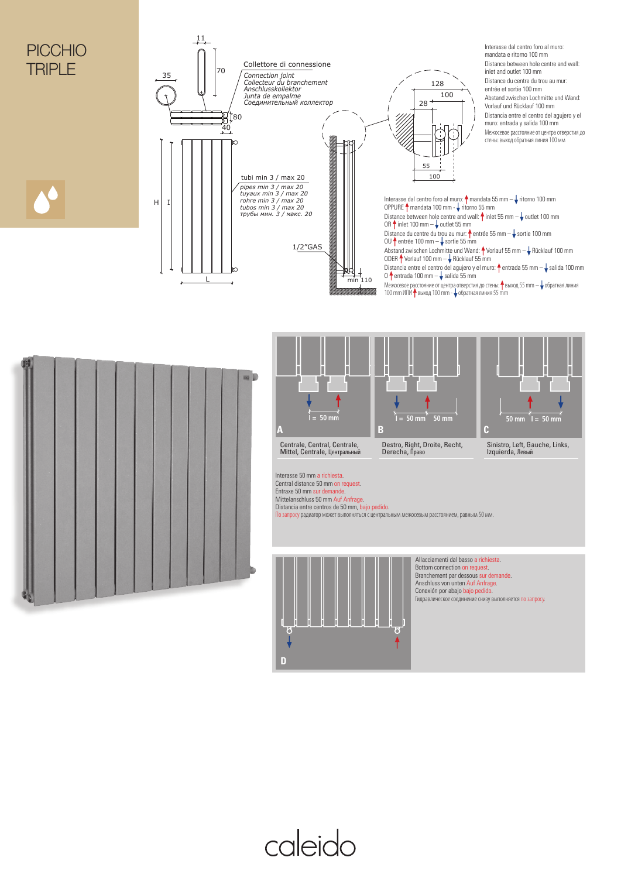# PICCHIO **TRIPI F**





caleido